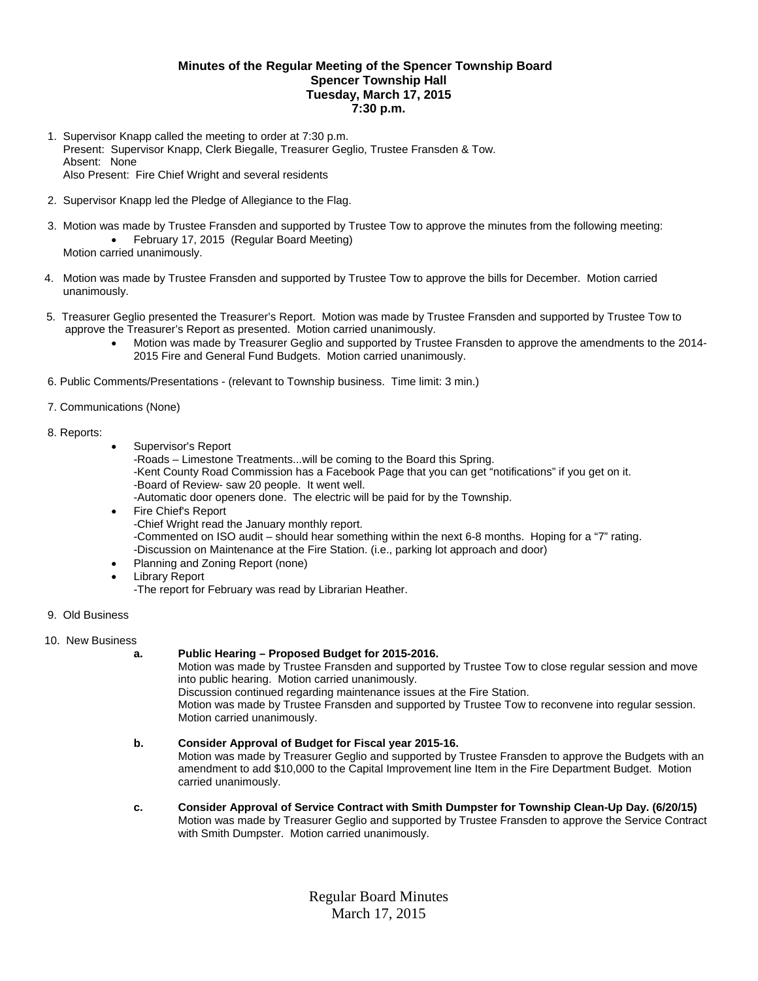### **Minutes of the Regular Meeting of the Spencer Township Board Spencer Township Hall Tuesday, March 17, 2015 7:30 p.m.**

- 1. Supervisor Knapp called the meeting to order at 7:30 p.m. Present: Supervisor Knapp, Clerk Biegalle, Treasurer Geglio, Trustee Fransden & Tow. Absent: None Also Present: Fire Chief Wright and several residents
- 2. Supervisor Knapp led the Pledge of Allegiance to the Flag.
- 3. Motion was made by Trustee Fransden and supported by Trustee Tow to approve the minutes from the following meeting: • February 17, 2015 (Regular Board Meeting) Motion carried unanimously.
- 4. Motion was made by Trustee Fransden and supported by Trustee Tow to approve the bills for December. Motion carried unanimously.
- 5. Treasurer Geglio presented the Treasurer's Report. Motion was made by Trustee Fransden and supported by Trustee Tow to approve the Treasurer's Report as presented. Motion carried unanimously.
	- Motion was made by Treasurer Geglio and supported by Trustee Fransden to approve the amendments to the 2014- 2015 Fire and General Fund Budgets. Motion carried unanimously.
- 6. Public Comments/Presentations (relevant to Township business. Time limit: 3 min.)

### 7. Communications (None)

- 8. Reports:
- Supervisor's Report -Roads – Limestone Treatments...will be coming to the Board this Spring. -Kent County Road Commission has a Facebook Page that you can get "notifications" if you get on it. -Board of Review- saw 20 people. It went well. -Automatic door openers done. The electric will be paid for by the Township.
- Fire Chief's Report -Chief Wright read the January monthly report. -Commented on ISO audit – should hear something within the next 6-8 months. Hoping for a "7" rating. -Discussion on Maintenance at the Fire Station. (i.e., parking lot approach and door)
- Planning and Zoning Report (none)
- Library Report -The report for February was read by Librarian Heather.
- 9. Old Business

# 10. New Business

## **a. Public Hearing – Proposed Budget for 2015-2016.**

Motion was made by Trustee Fransden and supported by Trustee Tow to close regular session and move into public hearing. Motion carried unanimously.

Discussion continued regarding maintenance issues at the Fire Station.

Motion was made by Trustee Fransden and supported by Trustee Tow to reconvene into regular session. Motion carried unanimously.

## **b. Consider Approval of Budget for Fiscal year 2015-16.**

Motion was made by Treasurer Geglio and supported by Trustee Fransden to approve the Budgets with an amendment to add \$10,000 to the Capital Improvement line Item in the Fire Department Budget. Motion carried unanimously.

 **c. Consider Approval of Service Contract with Smith Dumpster for Township Clean-Up Day. (6/20/15)**  Motion was made by Treasurer Geglio and supported by Trustee Fransden to approve the Service Contract with Smith Dumpster. Motion carried unanimously.

> Regular Board Minutes March 17, 2015